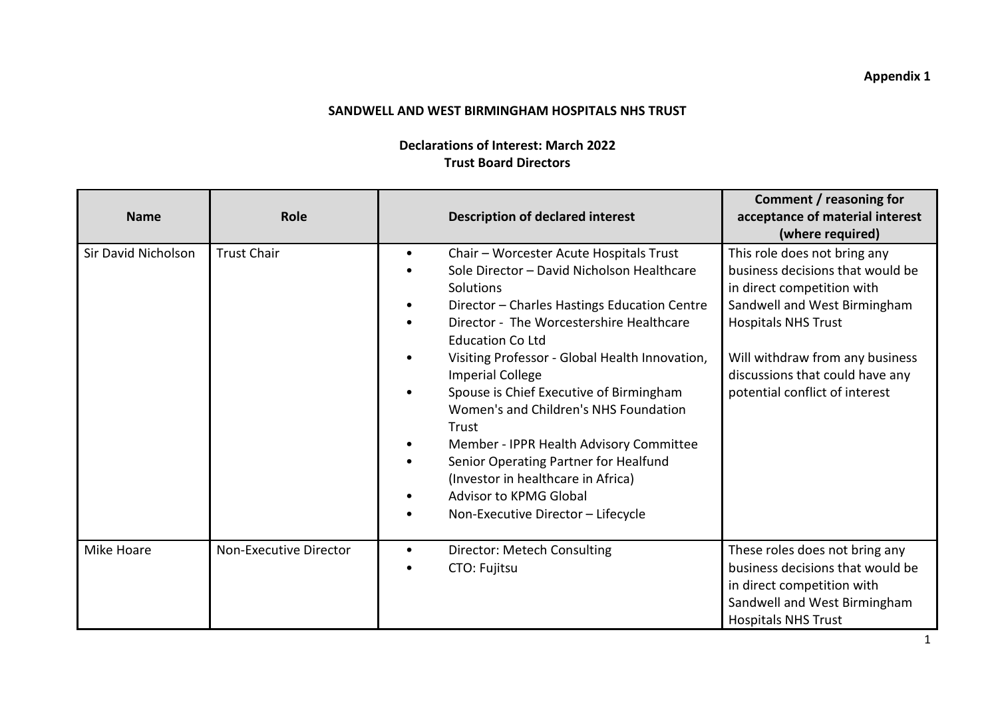## **Appendix 1**

## **SANDWELL AND WEST BIRMINGHAM HOSPITALS NHS TRUST**

## **Declarations of Interest: March 2022 Trust Board Directors**

| <b>Name</b>         | <b>Role</b>            | <b>Description of declared interest</b>                                                                                                                                                                                                                                                                                                                                                                                                                                                                                                                                                                           | Comment / reasoning for<br>acceptance of material interest<br>(where required)                                                                                                                                                                                       |
|---------------------|------------------------|-------------------------------------------------------------------------------------------------------------------------------------------------------------------------------------------------------------------------------------------------------------------------------------------------------------------------------------------------------------------------------------------------------------------------------------------------------------------------------------------------------------------------------------------------------------------------------------------------------------------|----------------------------------------------------------------------------------------------------------------------------------------------------------------------------------------------------------------------------------------------------------------------|
| Sir David Nicholson | <b>Trust Chair</b>     | Chair - Worcester Acute Hospitals Trust<br>$\bullet$<br>Sole Director - David Nicholson Healthcare<br>Solutions<br>Director - Charles Hastings Education Centre<br>Director - The Worcestershire Healthcare<br><b>Education Co Ltd</b><br>Visiting Professor - Global Health Innovation,<br><b>Imperial College</b><br>Spouse is Chief Executive of Birmingham<br>Women's and Children's NHS Foundation<br>Trust<br>Member - IPPR Health Advisory Committee<br>Senior Operating Partner for Healfund<br>(Investor in healthcare in Africa)<br><b>Advisor to KPMG Global</b><br>Non-Executive Director - Lifecycle | This role does not bring any<br>business decisions that would be<br>in direct competition with<br>Sandwell and West Birmingham<br><b>Hospitals NHS Trust</b><br>Will withdraw from any business<br>discussions that could have any<br>potential conflict of interest |
| Mike Hoare          | Non-Executive Director | Director: Metech Consulting<br>$\bullet$<br>CTO: Fujitsu                                                                                                                                                                                                                                                                                                                                                                                                                                                                                                                                                          | These roles does not bring any<br>business decisions that would be<br>in direct competition with<br>Sandwell and West Birmingham<br><b>Hospitals NHS Trust</b>                                                                                                       |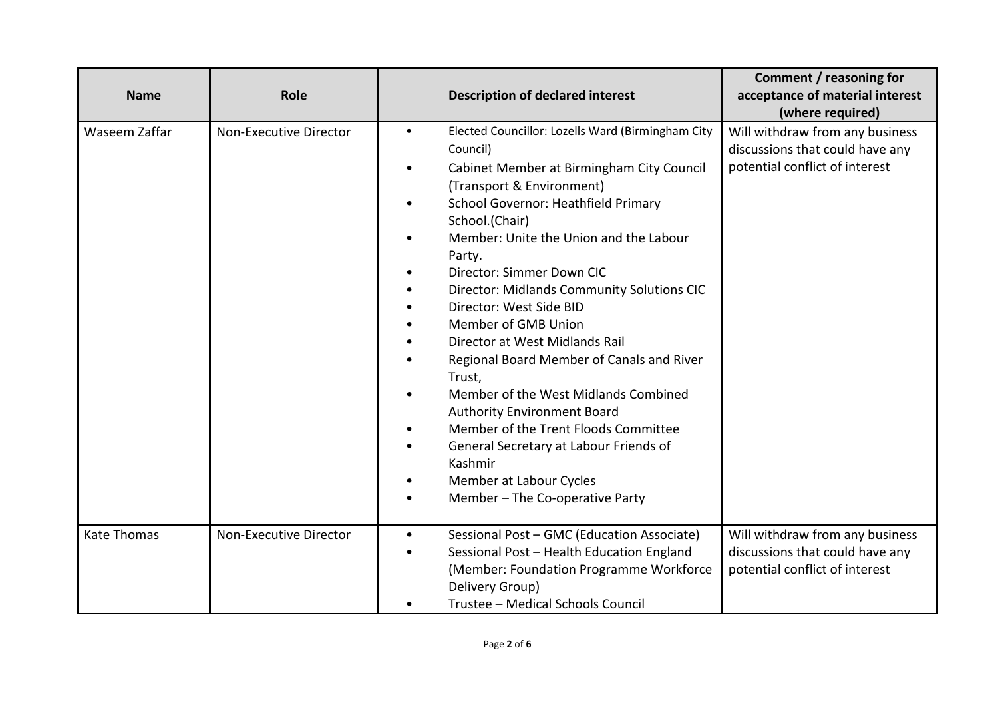| <b>Name</b>        | Role                   | <b>Description of declared interest</b>                                                                                                                                                                                                                                                                                                                                                                                                                                                                                                                                                                                                                                                                                                              | Comment / reasoning for<br>acceptance of material interest<br>(where required)                       |
|--------------------|------------------------|------------------------------------------------------------------------------------------------------------------------------------------------------------------------------------------------------------------------------------------------------------------------------------------------------------------------------------------------------------------------------------------------------------------------------------------------------------------------------------------------------------------------------------------------------------------------------------------------------------------------------------------------------------------------------------------------------------------------------------------------------|------------------------------------------------------------------------------------------------------|
| Waseem Zaffar      | Non-Executive Director | Elected Councillor: Lozells Ward (Birmingham City<br>$\bullet$<br>Council)<br>Cabinet Member at Birmingham City Council<br>(Transport & Environment)<br>School Governor: Heathfield Primary<br>$\bullet$<br>School.(Chair)<br>Member: Unite the Union and the Labour<br>Party.<br>Director: Simmer Down CIC<br><b>Director: Midlands Community Solutions CIC</b><br>Director: West Side BID<br>Member of GMB Union<br>Director at West Midlands Rail<br>Regional Board Member of Canals and River<br>Trust,<br>Member of the West Midlands Combined<br><b>Authority Environment Board</b><br>Member of the Trent Floods Committee<br>General Secretary at Labour Friends of<br>Kashmir<br>Member at Labour Cycles<br>Member - The Co-operative Party | Will withdraw from any business<br>discussions that could have any<br>potential conflict of interest |
| <b>Kate Thomas</b> | Non-Executive Director | Sessional Post - GMC (Education Associate)<br>$\bullet$<br>Sessional Post - Health Education England<br>(Member: Foundation Programme Workforce<br>Delivery Group)<br>Trustee - Medical Schools Council                                                                                                                                                                                                                                                                                                                                                                                                                                                                                                                                              | Will withdraw from any business<br>discussions that could have any<br>potential conflict of interest |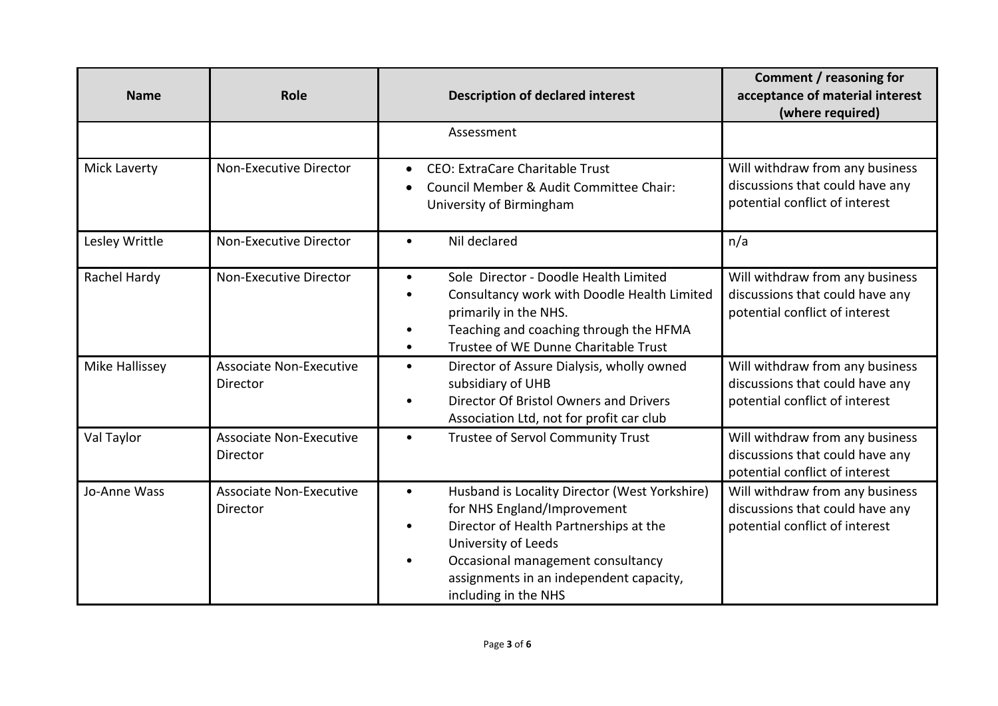| <b>Name</b>         | Role                                       | <b>Description of declared interest</b>                                                                                                                                                                                                                                                      | Comment / reasoning for<br>acceptance of material interest<br>(where required)                       |
|---------------------|--------------------------------------------|----------------------------------------------------------------------------------------------------------------------------------------------------------------------------------------------------------------------------------------------------------------------------------------------|------------------------------------------------------------------------------------------------------|
|                     |                                            | Assessment                                                                                                                                                                                                                                                                                   |                                                                                                      |
| <b>Mick Laverty</b> | Non-Executive Director                     | <b>CEO: ExtraCare Charitable Trust</b><br>$\bullet$<br>Council Member & Audit Committee Chair:<br>$\bullet$<br>University of Birmingham                                                                                                                                                      | Will withdraw from any business<br>discussions that could have any<br>potential conflict of interest |
| Lesley Writtle      | Non-Executive Director                     | Nil declared<br>$\bullet$                                                                                                                                                                                                                                                                    | n/a                                                                                                  |
| Rachel Hardy        | Non-Executive Director                     | Sole Director - Doodle Health Limited<br>$\bullet$<br>Consultancy work with Doodle Health Limited<br>$\bullet$<br>primarily in the NHS.<br>Teaching and coaching through the HFMA<br>$\bullet$<br>Trustee of WE Dunne Charitable Trust<br>$\bullet$                                          | Will withdraw from any business<br>discussions that could have any<br>potential conflict of interest |
| Mike Hallissey      | <b>Associate Non-Executive</b><br>Director | Director of Assure Dialysis, wholly owned<br>$\bullet$<br>subsidiary of UHB<br>Director Of Bristol Owners and Drivers<br>$\bullet$<br>Association Ltd, not for profit car club                                                                                                               | Will withdraw from any business<br>discussions that could have any<br>potential conflict of interest |
| Val Taylor          | <b>Associate Non-Executive</b><br>Director | Trustee of Servol Community Trust<br>$\bullet$                                                                                                                                                                                                                                               | Will withdraw from any business<br>discussions that could have any<br>potential conflict of interest |
| Jo-Anne Wass        | <b>Associate Non-Executive</b><br>Director | Husband is Locality Director (West Yorkshire)<br>$\bullet$<br>for NHS England/Improvement<br>Director of Health Partnerships at the<br>$\bullet$<br>University of Leeds<br>Occasional management consultancy<br>$\bullet$<br>assignments in an independent capacity,<br>including in the NHS | Will withdraw from any business<br>discussions that could have any<br>potential conflict of interest |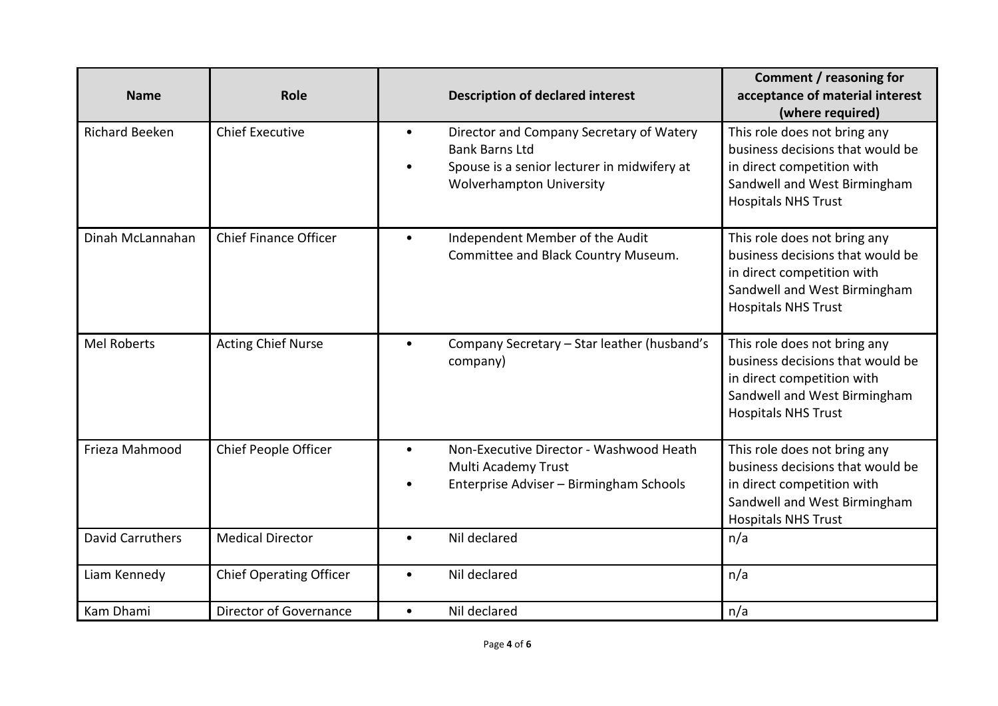| <b>Name</b>             | Role                           | <b>Description of declared interest</b>                                                                                                                                       | Comment / reasoning for<br>acceptance of material interest<br>(where required)                                                                               |
|-------------------------|--------------------------------|-------------------------------------------------------------------------------------------------------------------------------------------------------------------------------|--------------------------------------------------------------------------------------------------------------------------------------------------------------|
| <b>Richard Beeken</b>   | <b>Chief Executive</b>         | Director and Company Secretary of Watery<br>$\bullet$<br><b>Bank Barns Ltd</b><br>Spouse is a senior lecturer in midwifery at<br>$\bullet$<br><b>Wolverhampton University</b> | This role does not bring any<br>business decisions that would be<br>in direct competition with<br>Sandwell and West Birmingham<br><b>Hospitals NHS Trust</b> |
| Dinah McLannahan        | <b>Chief Finance Officer</b>   | Independent Member of the Audit<br>$\bullet$<br>Committee and Black Country Museum.                                                                                           | This role does not bring any<br>business decisions that would be<br>in direct competition with<br>Sandwell and West Birmingham<br><b>Hospitals NHS Trust</b> |
| <b>Mel Roberts</b>      | <b>Acting Chief Nurse</b>      | Company Secretary - Star leather (husband's<br>$\bullet$<br>company)                                                                                                          | This role does not bring any<br>business decisions that would be<br>in direct competition with<br>Sandwell and West Birmingham<br><b>Hospitals NHS Trust</b> |
| Frieza Mahmood          | Chief People Officer           | Non-Executive Director - Washwood Heath<br>$\bullet$<br>Multi Academy Trust<br>Enterprise Adviser - Birmingham Schools                                                        | This role does not bring any<br>business decisions that would be<br>in direct competition with<br>Sandwell and West Birmingham<br><b>Hospitals NHS Trust</b> |
| <b>David Carruthers</b> | <b>Medical Director</b>        | Nil declared<br>$\bullet$                                                                                                                                                     | n/a                                                                                                                                                          |
| Liam Kennedy            | <b>Chief Operating Officer</b> | Nil declared<br>$\bullet$                                                                                                                                                     | n/a                                                                                                                                                          |
| Kam Dhami               | Director of Governance         | Nil declared<br>$\bullet$                                                                                                                                                     | n/a                                                                                                                                                          |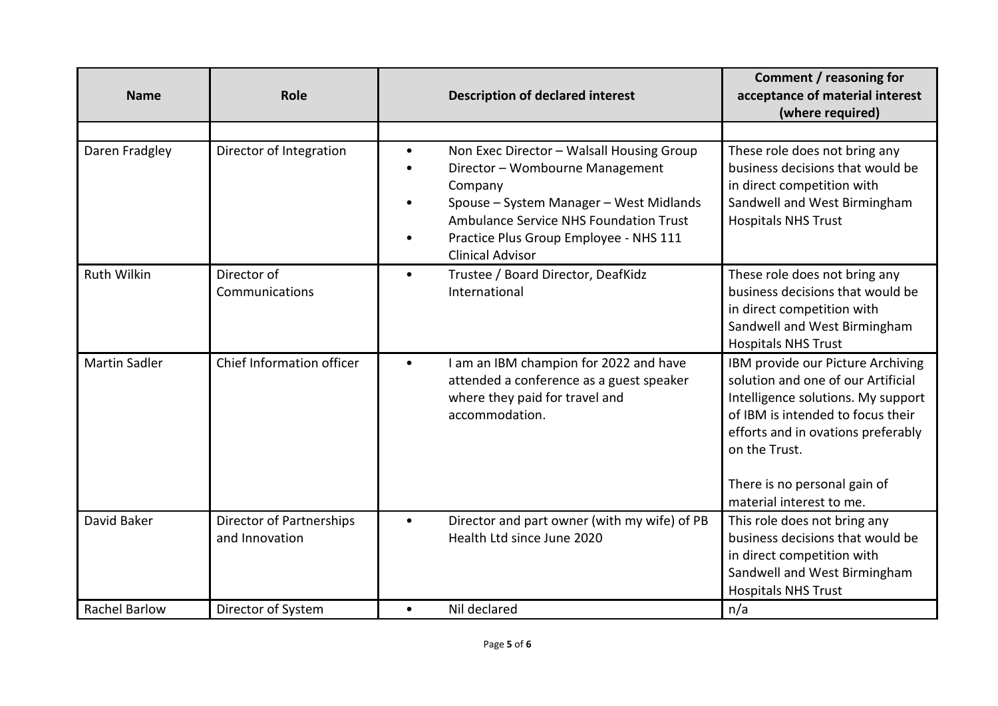| <b>Name</b>          | Role                                       | <b>Description of declared interest</b>                                                                                                                                                                                                                                            | Comment / reasoning for<br>acceptance of material interest<br>(where required)                                                                                                                                                                                        |
|----------------------|--------------------------------------------|------------------------------------------------------------------------------------------------------------------------------------------------------------------------------------------------------------------------------------------------------------------------------------|-----------------------------------------------------------------------------------------------------------------------------------------------------------------------------------------------------------------------------------------------------------------------|
|                      |                                            |                                                                                                                                                                                                                                                                                    |                                                                                                                                                                                                                                                                       |
| Daren Fradgley       | Director of Integration                    | Non Exec Director - Walsall Housing Group<br>$\bullet$<br>Director - Wombourne Management<br>$\bullet$<br>Company<br>Spouse - System Manager - West Midlands<br><b>Ambulance Service NHS Foundation Trust</b><br>Practice Plus Group Employee - NHS 111<br><b>Clinical Advisor</b> | These role does not bring any<br>business decisions that would be<br>in direct competition with<br>Sandwell and West Birmingham<br><b>Hospitals NHS Trust</b>                                                                                                         |
| <b>Ruth Wilkin</b>   | Director of<br>Communications              | Trustee / Board Director, DeafKidz<br>$\bullet$<br>International                                                                                                                                                                                                                   | These role does not bring any<br>business decisions that would be<br>in direct competition with<br>Sandwell and West Birmingham<br><b>Hospitals NHS Trust</b>                                                                                                         |
| <b>Martin Sadler</b> | Chief Information officer                  | I am an IBM champion for 2022 and have<br>$\bullet$<br>attended a conference as a guest speaker<br>where they paid for travel and<br>accommodation.                                                                                                                                | IBM provide our Picture Archiving<br>solution and one of our Artificial<br>Intelligence solutions. My support<br>of IBM is intended to focus their<br>efforts and in ovations preferably<br>on the Trust.<br>There is no personal gain of<br>material interest to me. |
| David Baker          | Director of Partnerships<br>and Innovation | Director and part owner (with my wife) of PB<br>$\bullet$<br>Health Ltd since June 2020                                                                                                                                                                                            | This role does not bring any<br>business decisions that would be<br>in direct competition with<br>Sandwell and West Birmingham<br><b>Hospitals NHS Trust</b>                                                                                                          |
| <b>Rachel Barlow</b> | Director of System                         | Nil declared<br>$\bullet$                                                                                                                                                                                                                                                          | n/a                                                                                                                                                                                                                                                                   |